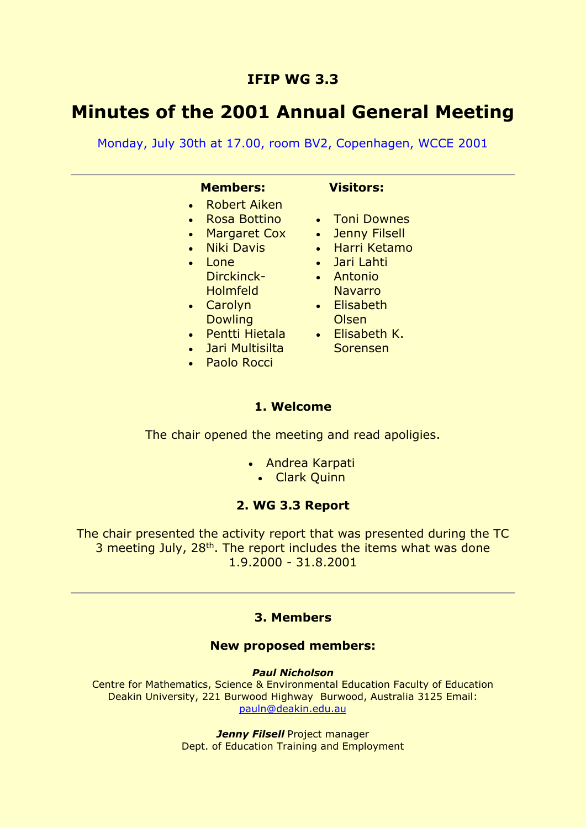# **IFIP WG 3.3**

# **Minutes of the 2001 Annual General Meeting**

Monday, July 30th at 17.00, room BV2, Copenhagen, WCCE 2001

## **Members: Visitors:**

- Robert Aiken
- Rosa Bottino
- Margaret Cox
- Niki Davis
- Lone Dirckinck-Holmfeld
- Carolyn **Dowling**
- Pentti Hietala
- Jari Multisilta
- Paolo Rocci

• Toni Downes

- Jenny Filsell
- Harri Ketamo
- Jari Lahti
- Antonio Navarro
- Elisabeth Olsen
- Elisabeth K. Sorensen

# **1. Welcome**

The chair opened the meeting and read apoligies.

- Andrea Karpati
	- Clark Quinn

# **2. WG 3.3 Report**

The chair presented the activity report that was presented during the TC 3 meeting July, 28<sup>th</sup>. The report includes the items what was done 1.9.2000 - 31.8.2001

### **3. Members**

#### **New proposed members:**

*Paul Nicholson*

Centre for Mathematics, Science & Environmental Education Faculty of Education Deakin University, 221 Burwood Highway Burwood, Australia 3125 Email: [pauln@deakin.edu.au](mailto:pauln@deakin.edu.au)

> **Jenny Filsell** Project manager Dept. of Education Training and Employment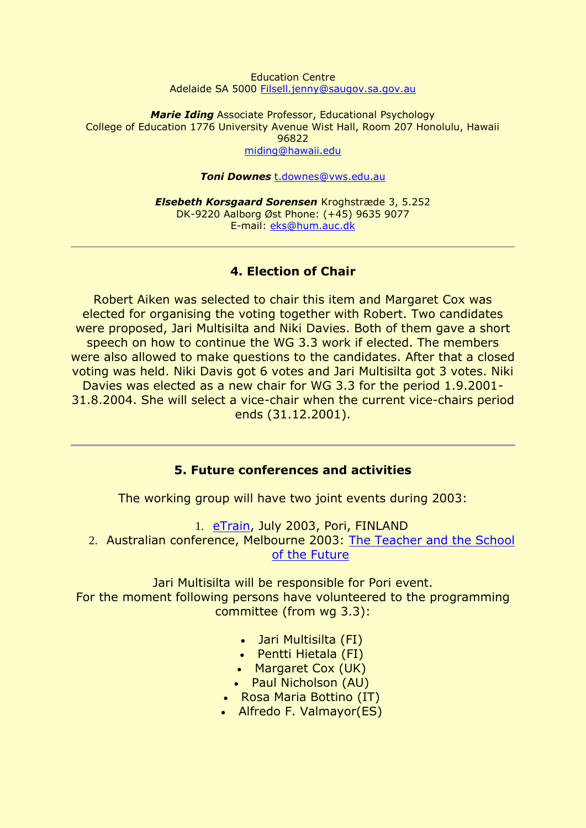#### Education Centre Adelaide SA 5000 [Filsell.jenny@saugov.sa.gov.au](mailto:Filsell.jenny@saugov.sa.gov.au)

*Marie Iding* Associate Professor, Educational Psychology College of Education 1776 University Avenue Wist Hall, Room 207 Honolulu, Hawaii 96822 [miding@hawaii.edu](mailto:miding@hawaii.edu) 

#### *Toni Downes* [t.downes@vws.edu.au](mailto:t.downes@vws.edu.au)

*Elsebeth Korsgaard Sorensen* Kroghstræde 3, 5.252 DK-9220 Aalborg Øst Phone: (+45) 9635 9077 E-mail: [eks@hum.auc.dk](mailto:eks@hum.auc.dk) 

## **4. Election of Chair**

Robert Aiken was selected to chair this item and Margaret Cox was elected for organising the voting together with Robert. Two candidates were proposed, Jari Multisilta and Niki Davies. Both of them gave a short speech on how to continue the WG 3.3 work if elected. The members were also allowed to make questions to the candidates. After that a closed voting was held. Niki Davis got 6 votes and Jari Multisilta got 3 votes. Niki Davies was elected as a new chair for WG 3.3 for the period 1.9.2001- 31.8.2004. She will select a vice-chair when the current vice-chairs period ends (31.12.2001).

#### **5. Future conferences and activities**

The working group will have two joint events during 2003:

1. [eTrain,](http://www.legenda.pori.fi/etrain) July 2003, Pori, FINLAND 2. Australian conference, Melbourne 2003: [The Teacher and the School](http://www.deakin.edu.au/education/ifip/Melbourne2003)  [of the Future](http://www.deakin.edu.au/education/ifip/Melbourne2003)

Jari Multisilta will be responsible for Pori event. For the moment following persons have volunteered to the programming committee (from wg 3.3):

- Jari Multisilta (FI)
- Pentti Hietala (FI)
- Margaret Cox (UK)
- Paul Nicholson (AU)
- Rosa Maria Bottino (IT)
- Alfredo F. Valmayor(ES)